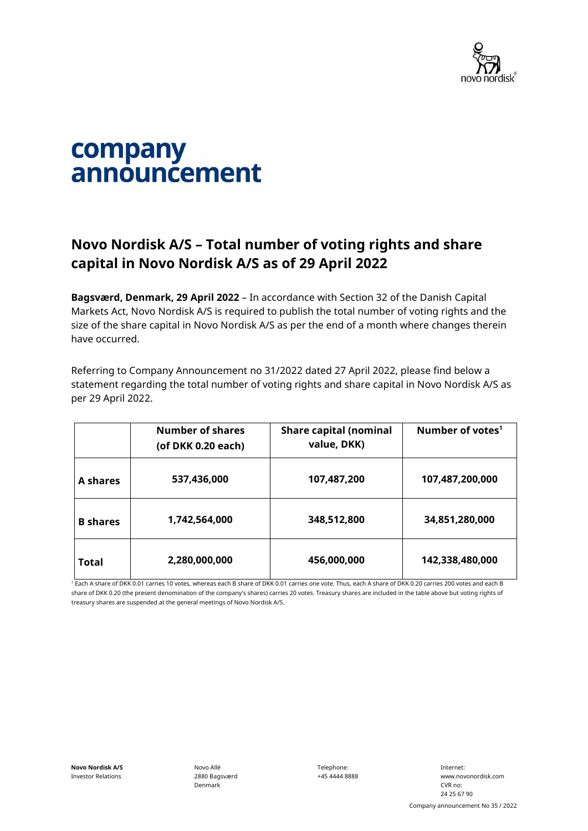

## company announcement

## **Novo Nordisk A/S – Total number of voting rights and share capital in Novo Nordisk A/S as of 29 April 2022**

**Bagsværd, Denmark, 29 April 2022** – In accordance with Section 32 of the Danish Capital Markets Act, Novo Nordisk A/S is required to publish the total number of voting rights and the size of the share capital in Novo Nordisk A/S as per the end of a month where changes therein have occurred.

Referring to Company Announcement no 31/2022 dated 27 April 2022, please find below a statement regarding the total number of voting rights and share capital in Novo Nordisk A/S as per 29 April 2022.

|                 | <b>Number of shares</b><br>(of DKK 0.20 each) | <b>Share capital (nominal</b><br>value, DKK) | Number of votes <sup>1</sup> |
|-----------------|-----------------------------------------------|----------------------------------------------|------------------------------|
| A shares        | 537,436,000                                   | 107,487,200                                  | 107,487,200,000              |
| <b>B</b> shares | 1,742,564,000                                 | 348,512,800                                  | 34,851,280,000               |
| Total           | 2,280,000,000                                 | 456,000,000                                  | 142,338,480,000              |

<sup>1</sup> Each A share of DKK 0.01 carries 10 votes, whereas each B share of DKK 0.01 carries one vote. Thus, each A share of DKK 0.20 carries 200 votes and each B share of DKK 0.20 (the present denomination of the company's shares) carries 20 votes. Treasury shares are included in the table above but voting rights of treasury shares are suspended at the general meetings of Novo Nordisk A/S.